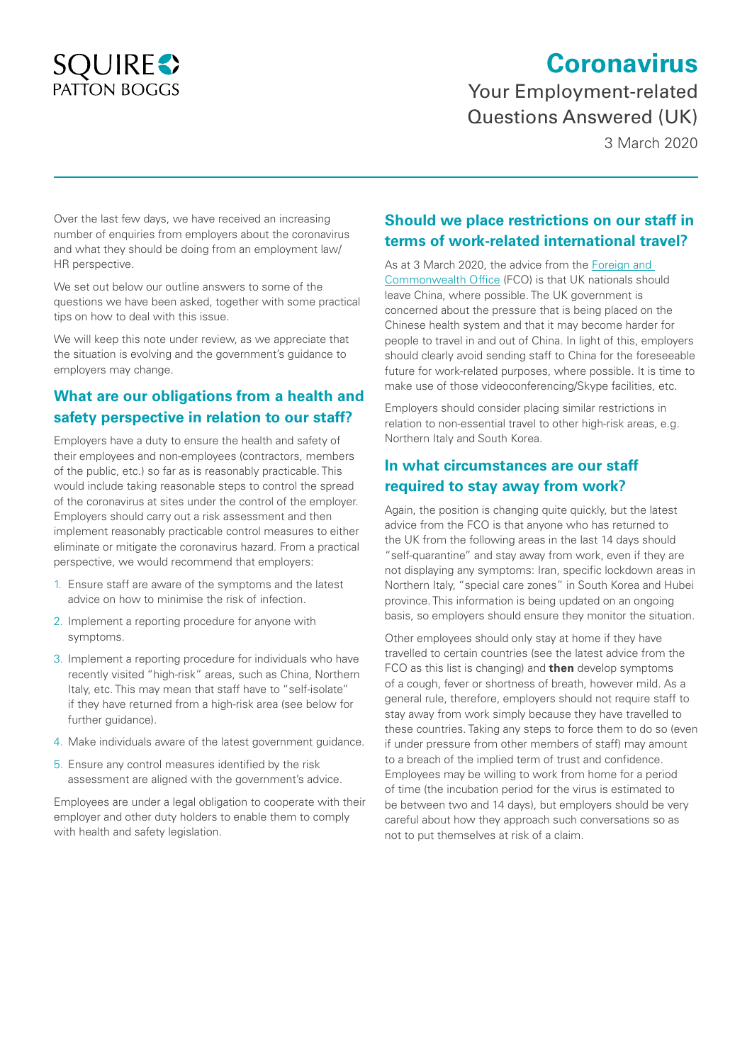# **SQUIRES** PATTON BOGGS

# **Coronavirus**

Your Employment-related Questions Answered (UK)

3 March 2020

Over the last few days, we have received an increasing number of enquiries from employers about the coronavirus and what they should be doing from an employment law/ HR perspective.

We set out below our outline answers to some of the questions we have been asked, together with some practical tips on how to deal with this issue.

We will keep this note under review, as we appreciate that the situation is evolving and the government's guidance to employers may change.

# **What are our obligations from a health and safety perspective in relation to our staff?**

Employers have a duty to ensure the health and safety of their employees and non-employees (contractors, members of the public, etc.) so far as is reasonably practicable. This would include taking reasonable steps to control the spread of the coronavirus at sites under the control of the employer. Employers should carry out a risk assessment and then implement reasonably practicable control measures to either eliminate or mitigate the coronavirus hazard. From a practical perspective, we would recommend that employers:

- 1. Ensure staff are aware of the symptoms and the latest advice on how to minimise the risk of infection.
- 2. Implement a reporting procedure for anyone with symptoms.
- 3. Implement a reporting procedure for individuals who have recently visited "high-risk" areas, such as China, Northern Italy, etc. This may mean that staff have to "self-isolate" if they have returned from a high-risk area (see below for further guidance).
- 4. Make individuals aware of the latest government guidance.
- 5. Ensure any control measures identified by the risk assessment are aligned with the government's advice.

Employees are under a legal obligation to cooperate with their employer and other duty holders to enable them to comply with health and safety legislation.

#### **Should we place restrictions on our staff in terms of work-related international travel?**

As at 3 March 2020, the advice from the [Foreign and](https://www.gov.uk/guidance/travel-advice-novel-coronavirus#foreign--commonwealth-office-fco-travel-advice)  [Commonwealth Office](https://www.gov.uk/guidance/travel-advice-novel-coronavirus#foreign--commonwealth-office-fco-travel-advice) (FCO) is that UK nationals should leave China, where possible. The UK government is concerned about the pressure that is being placed on the Chinese health system and that it may become harder for people to travel in and out of China. In light of this, employers should clearly avoid sending staff to China for the foreseeable future for work-related purposes, where possible. It is time to make use of those videoconferencing/Skype facilities, etc.

Employers should consider placing similar restrictions in relation to non-essential travel to other high-risk areas, e.g. Northern Italy and South Korea.

### **In what circumstances are our staff required to stay away from work?**

Again, the position is changing quite quickly, but the latest [advice](https://www.gov.uk/guidance/coronavirus-covid-19-information-for-the-public) from the FCO is that anyone who has returned to the UK from the following areas in the last 14 days should "self-quarantine" and stay away from work, even if they are not displaying any symptoms: Iran, specific lockdown areas in Northern Italy, "special care zones" in South Korea and Hubei province. This information is being updated on an ongoing basis, so employers should ensure they monitor the situation.

Other employees should only stay at home if they have travelled to certain countries (see the latest advice from the FCO as this list is changing) and **then** develop symptoms of a cough, fever or shortness of breath, however mild. As a general rule, therefore, employers should not require staff to stay away from work simply because they have travelled to these countries. Taking any steps to force them to do so (even if under pressure from other members of staff) may amount to a breach of the implied term of trust and confidence. Employees may be willing to work from home for a period of time (the incubation period for the virus is estimated to be between two and 14 days), but employers should be very careful about how they approach such conversations so as not to put themselves at risk of a claim.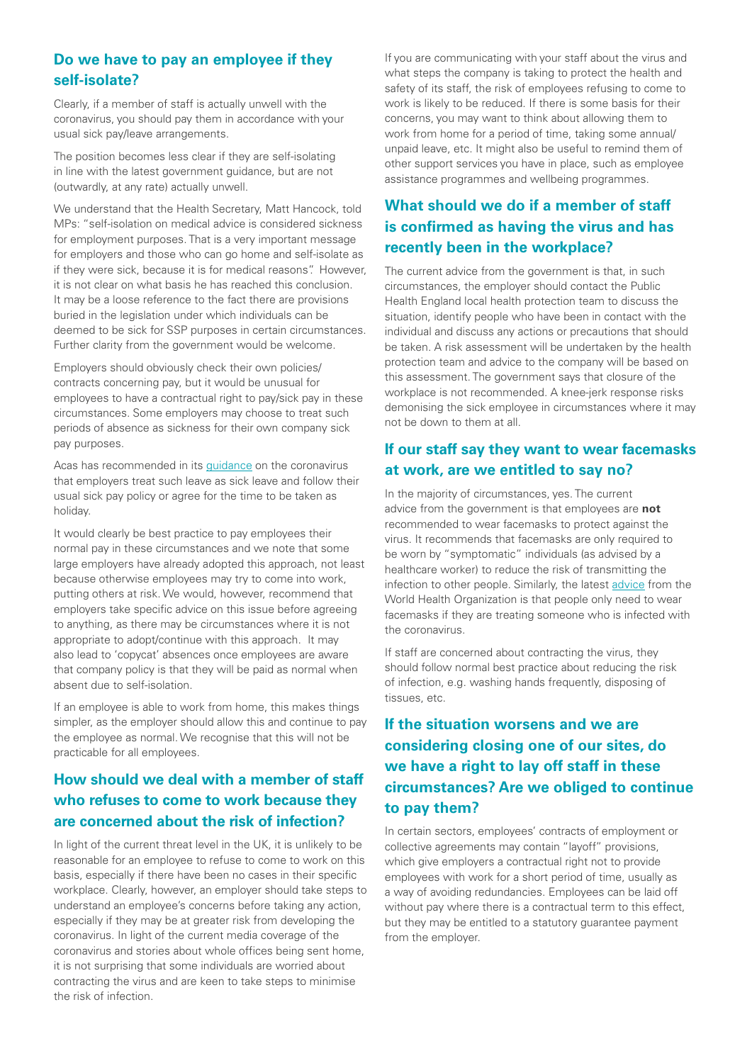#### **Do we have to pay an employee if they self-isolate?**

Clearly, if a member of staff is actually unwell with the coronavirus, you should pay them in accordance with your usual sick pay/leave arrangements.

The position becomes less clear if they are self-isolating in line with the latest government guidance, but are not (outwardly, at any rate) actually unwell.

We understand that the Health Secretary, Matt Hancock, told MPs: "self-isolation on medical advice is considered sickness for employment purposes. That is a very important message for employers and those who can go home and self-isolate as if they were sick, because it is for medical reasons". However, it is not clear on what basis he has reached this conclusion. It may be a loose reference to the fact there are provisions buried in the legislation under which individuals can be deemed to be sick for SSP purposes in certain circumstances. Further clarity from the government would be welcome.

Employers should obviously check their own policies/ contracts concerning pay, but it would be unusual for employees to have a contractual right to pay/sick pay in these circumstances. Some employers may choose to treat such periods of absence as sickness for their own company sick pay purposes.

Acas has recommended in its [guidance](https://www.acas.org.uk/coronavirus) on the coronavirus that employers treat such leave as sick leave and follow their usual sick pay policy or agree for the time to be taken as holiday.

It would clearly be best practice to pay employees their normal pay in these circumstances and we note that some large employers have already adopted this approach, not least because otherwise employees may try to come into work, putting others at risk. We would, however, recommend that employers take specific advice on this issue before agreeing to anything, as there may be circumstances where it is not appropriate to adopt/continue with this approach. It may also lead to 'copycat' absences once employees are aware that company policy is that they will be paid as normal when absent due to self-isolation.

If an employee is able to work from home, this makes things simpler, as the employer should allow this and continue to pay the employee as normal. We recognise that this will not be practicable for all employees.

# **How should we deal with a member of staff who refuses to come to work because they are concerned about the risk of infection?**

In light of the current threat level in the UK, it is unlikely to be reasonable for an employee to refuse to come to work on this basis, especially if there have been no cases in their specific workplace. Clearly, however, an employer should take steps to understand an employee's concerns before taking any action, especially if they may be at greater risk from developing the coronavirus. In light of the current media coverage of the coronavirus and stories about whole offices being sent home, it is not surprising that some individuals are worried about contracting the virus and are keen to take steps to minimise the risk of infection.

If you are communicating with your staff about the virus and what steps the company is taking to protect the health and safety of its staff, the risk of employees refusing to come to work is likely to be reduced. If there is some basis for their concerns, you may want to think about allowing them to work from home for a period of time, taking some annual/ unpaid leave, etc. It might also be useful to remind them of other support services you have in place, such as employee assistance programmes and wellbeing programmes.

# **What should we do if a member of staff is confirmed as having the virus and has recently been in the workplace?**

The current advice from the government is that, in such circumstances, the employer should contact the Public Health England local health protection team to discuss the situation, identify people who have been in contact with the individual and discuss any actions or precautions that should be taken. A risk assessment will be undertaken by the health protection team and advice to the company will be based on this assessment. The government says that closure of the workplace is not recommended. A knee-jerk response risks demonising the sick employee in circumstances where it may not be down to them at all.

#### **If our staff say they want to wear facemasks at work, are we entitled to say no?**

In the majority of circumstances, yes. The current advice from the government is that employees are **not** recommended to wear facemasks to protect against the virus. It recommends that facemasks are only required to be worn by "symptomatic" individuals (as advised by a healthcare worker) to reduce the risk of transmitting the infection to other people. Similarly, the latest [advice](https://www.who.int/emergencies/diseases/novel-coronavirus-2019/advice-for-public/when-and-how-to-use-masks) from the World Health Organization is that people only need to wear facemasks if they are treating someone who is infected with the coronavirus.

If staff are concerned about contracting the virus, they should follow normal best practice about reducing the risk of infection, e.g. washing hands frequently, disposing of tissues, etc.

# **If the situation worsens and we are considering closing one of our sites, do we have a right to lay off staff in these circumstances? Are we obliged to continue to pay them?**

In certain sectors, employees' contracts of employment or collective agreements may contain "layoff" provisions, which give employers a contractual right not to provide employees with work for a short period of time, usually as a way of avoiding redundancies. Employees can be laid off without pay where there is a contractual term to this effect, but they may be entitled to a statutory guarantee payment from the employer.